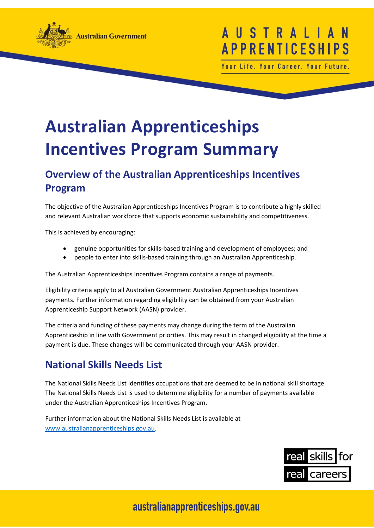

## TRAL **APPRENTICESI**

Your Life. Your Career. Your Future.

# **Australian Apprenticeships Incentives Program Summary**

#### **Overview of the Australian Apprenticeships Incentives Program**

The objective of the Australian Apprenticeships Incentives Program is to contribute a highly skilled and relevant Australian workforce that supports economic sustainability and competitiveness.

This is achieved by encouraging:

- genuine opportunities for skills-based training and development of employees; and
- people to enter into skills-based training through an Australian Apprenticeship.

The Australian Apprenticeships Incentives Program contains a range of payments.

Eligibility criteria apply to all Australian Government Australian Apprenticeships Incentives payments. Further information regarding eligibility can be obtained from your Australian Apprenticeship Support Network (AASN) provider.

The criteria and funding of these payments may change during the term of the Australian Apprenticeship in line with Government priorities. This may result in changed eligibility at the time a payment is due. These changes will be communicated through your AASN provider.

#### **National Skills Needs List**

The National Skills Needs List identifies occupations that are deemed to be in national skill shortage. The National Skills Needs List is used to determine eligibility for a number of payments available under the Australian Apprenticeships Incentives Program.

Further information about the National Skills Needs List is available at [www.australianapprenticeships.gov.au.](http://www.australianapprenticeships.gov.au/)

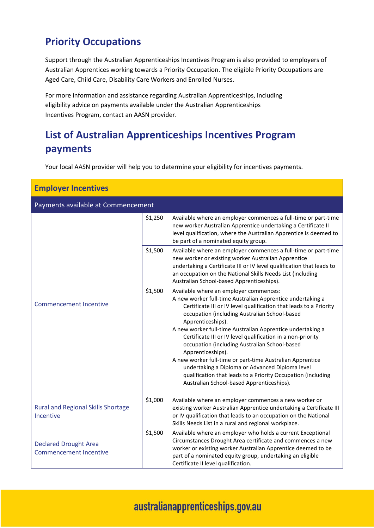#### **Priority Occupations**

Support through the Australian Apprenticeships Incentives Program is also provided to employers of Australian Apprentices working towards a Priority Occupation. The eligible Priority Occupations are Aged Care, Child Care, Disability Care Workers and Enrolled Nurses.

For more information and assistance regarding Australian Apprenticeships, including eligibility advice on payments available under the Australian Apprenticeships Incentives Program, contact an AASN provider.

#### **List of Australian Apprenticeships Incentives Program payments**

Your local AASN provider will help you to determine your eligibility for incentives payments.

| <b>Employer Incentives</b>                                    |         |                                                                                                                                                                                                                                                                                                                                                                                                                                                                                                                                                                                                                                                                                  |
|---------------------------------------------------------------|---------|----------------------------------------------------------------------------------------------------------------------------------------------------------------------------------------------------------------------------------------------------------------------------------------------------------------------------------------------------------------------------------------------------------------------------------------------------------------------------------------------------------------------------------------------------------------------------------------------------------------------------------------------------------------------------------|
| Payments available at Commencement                            |         |                                                                                                                                                                                                                                                                                                                                                                                                                                                                                                                                                                                                                                                                                  |
|                                                               | \$1,250 | Available where an employer commences a full-time or part-time<br>new worker Australian Apprentice undertaking a Certificate II<br>level qualification, where the Australian Apprentice is deemed to<br>be part of a nominated equity group.                                                                                                                                                                                                                                                                                                                                                                                                                                     |
|                                                               | \$1,500 | Available where an employer commences a full-time or part-time<br>new worker or existing worker Australian Apprentice<br>undertaking a Certificate III or IV level qualification that leads to<br>an occupation on the National Skills Needs List (including<br>Australian School-based Apprenticeships).                                                                                                                                                                                                                                                                                                                                                                        |
| <b>Commencement Incentive</b>                                 | \$1,500 | Available where an employer commences:<br>A new worker full-time Australian Apprentice undertaking a<br>Certificate III or IV level qualification that leads to a Priority<br>occupation (including Australian School-based<br>Apprenticeships).<br>A new worker full-time Australian Apprentice undertaking a<br>Certificate III or IV level qualification in a non-priority<br>occupation (including Australian School-based<br>Apprenticeships).<br>A new worker full-time or part-time Australian Apprentice<br>undertaking a Diploma or Advanced Diploma level<br>qualification that leads to a Priority Occupation (including<br>Australian School-based Apprenticeships). |
| <b>Rural and Regional Skills Shortage</b><br>Incentive        | \$1,000 | Available where an employer commences a new worker or<br>existing worker Australian Apprentice undertaking a Certificate III<br>or IV qualification that leads to an occupation on the National<br>Skills Needs List in a rural and regional workplace.                                                                                                                                                                                                                                                                                                                                                                                                                          |
| <b>Declared Drought Area</b><br><b>Commencement Incentive</b> | \$1,500 | Available where an employer who holds a current Exceptional<br>Circumstances Drought Area certificate and commences a new<br>worker or existing worker Australian Apprentice deemed to be<br>part of a nominated equity group, undertaking an eligible<br>Certificate II level qualification.                                                                                                                                                                                                                                                                                                                                                                                    |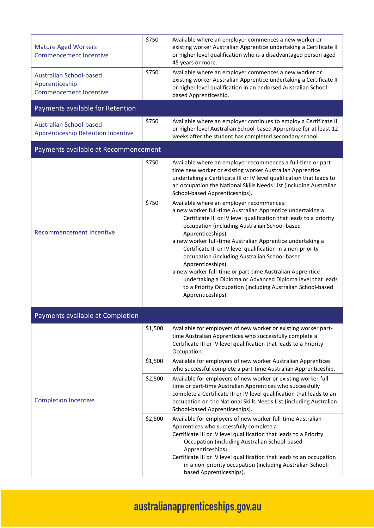| <b>Mature Aged Workers</b><br><b>Commencement Incentive</b>                       | \$750   | Available where an employer commences a new worker or<br>existing worker Australian Apprentice undertaking a Certificate II<br>or higher level qualification who is a disadvantaged person aged<br>45 years or more.                                                                                                                                                                                                                                                                                                                                                                                                                                                 |
|-----------------------------------------------------------------------------------|---------|----------------------------------------------------------------------------------------------------------------------------------------------------------------------------------------------------------------------------------------------------------------------------------------------------------------------------------------------------------------------------------------------------------------------------------------------------------------------------------------------------------------------------------------------------------------------------------------------------------------------------------------------------------------------|
| <b>Australian School-based</b><br>Apprenticeship<br><b>Commencement Incentive</b> | \$750   | Available where an employer commences a new worker or<br>existing worker Australian Apprentice undertaking a Certificate II<br>or higher level qualification in an endorsed Australian School-<br>based Apprenticeship.                                                                                                                                                                                                                                                                                                                                                                                                                                              |
| Payments available for Retention                                                  |         |                                                                                                                                                                                                                                                                                                                                                                                                                                                                                                                                                                                                                                                                      |
| <b>Australian School-based</b><br><b>Apprenticeship Retention Incentive</b>       | \$750   | Available where an employer continues to employ a Certificate II<br>or higher level Australian School-based Apprentice for at least 12<br>weeks after the student has completed secondary school.                                                                                                                                                                                                                                                                                                                                                                                                                                                                    |
| Payments available at Recommencement                                              |         |                                                                                                                                                                                                                                                                                                                                                                                                                                                                                                                                                                                                                                                                      |
| <b>Recommencement Incentive</b>                                                   | \$750   | Available where an employer recommences a full-time or part-<br>time new worker or existing worker Australian Apprentice<br>undertaking a Certificate III or IV level qualification that leads to<br>an occupation the National Skills Needs List (including Australian<br>School-based Apprenticeships).                                                                                                                                                                                                                                                                                                                                                            |
|                                                                                   | \$750   | Available where an employer recommences:<br>a new worker full-time Australian Apprentice undertaking a<br>Certificate III or IV level qualification that leads to a priority<br>occupation (including Australian School-based<br>Apprenticeships).<br>a new worker full-time Australian Apprentice undertaking a<br>Certificate III or IV level qualification in a non-priority<br>occupation (including Australian School-based<br>Apprenticeships).<br>a new worker full-time or part-time Australian Apprentice<br>undertaking a Diploma or Advanced Diploma level that leads<br>to a Priority Occupation (including Australian School-based<br>Apprenticeships). |
| Payments available at Completion                                                  |         |                                                                                                                                                                                                                                                                                                                                                                                                                                                                                                                                                                                                                                                                      |
| <b>Completion Incentive</b>                                                       | \$1,500 | Available for employers of new worker or existing worker part-<br>time Australian Apprentices who successfully complete a<br>Certificate III or IV level qualification that leads to a Priority<br>Occupation.                                                                                                                                                                                                                                                                                                                                                                                                                                                       |
|                                                                                   | \$1,500 | Available for employers of new worker Australian Apprentices<br>who successful complete a part-time Australian Apprenticeship.                                                                                                                                                                                                                                                                                                                                                                                                                                                                                                                                       |
|                                                                                   | \$2,500 | Available for employers of new worker or existing worker full-<br>time or part-time Australian Apprentices who successfully<br>complete a Certificate III or IV level qualification that leads to an<br>occupation on the National Skills Needs List (including Australian<br>School-based Apprenticeships).                                                                                                                                                                                                                                                                                                                                                         |
|                                                                                   | \$2,500 | Available for employers of new worker full-time Australian<br>Apprentices who successfully complete a:<br>Certificate III or IV level qualification that leads to a Priority<br>Occupation (including Australian School-based<br>Apprenticeships).<br>Certificate III or IV level qualification that leads to an occupation<br>in a non-priority occupation (including Australian School-<br>based Apprenticeships).                                                                                                                                                                                                                                                 |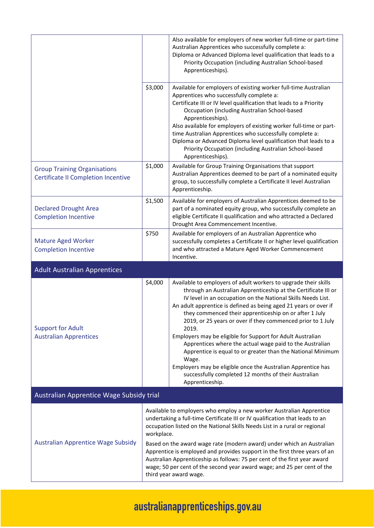|                                          | Also available for employers of new worker full-time or part-time<br>Australian Apprentices who successfully complete a:<br>Diploma or Advanced Diploma level qualification that leads to a<br>Priority Occupation (including Australian School-based<br>Apprenticeships).                                                                                                                                                                                                                                                                                                                                                                                                                                                                           |  |
|------------------------------------------|------------------------------------------------------------------------------------------------------------------------------------------------------------------------------------------------------------------------------------------------------------------------------------------------------------------------------------------------------------------------------------------------------------------------------------------------------------------------------------------------------------------------------------------------------------------------------------------------------------------------------------------------------------------------------------------------------------------------------------------------------|--|
| \$3,000                                  | Available for employers of existing worker full-time Australian<br>Apprentices who successfully complete a:<br>Certificate III or IV level qualification that leads to a Priority<br>Occupation (including Australian School-based<br>Apprenticeships).<br>Also available for employers of existing worker full-time or part-<br>time Australian Apprentices who successfully complete a:<br>Diploma or Advanced Diploma level qualification that leads to a<br>Priority Occupation (including Australian School-based<br>Apprenticeships).                                                                                                                                                                                                          |  |
| \$1,000                                  | Available for Group Training Organisations that support<br>Australian Apprentices deemed to be part of a nominated equity<br>group, to successfully complete a Certificate II level Australian<br>Apprenticeship.                                                                                                                                                                                                                                                                                                                                                                                                                                                                                                                                    |  |
| \$1,500                                  | Available for employers of Australian Apprentices deemed to be<br>part of a nominated equity group, who successfully complete an<br>eligible Certificate II qualification and who attracted a Declared<br>Drought Area Commencement Incentive.                                                                                                                                                                                                                                                                                                                                                                                                                                                                                                       |  |
| \$750                                    | Available for employers of an Australian Apprentice who<br>successfully completes a Certificate II or higher level qualification<br>and who attracted a Mature Aged Worker Commencement<br>Incentive.                                                                                                                                                                                                                                                                                                                                                                                                                                                                                                                                                |  |
|                                          |                                                                                                                                                                                                                                                                                                                                                                                                                                                                                                                                                                                                                                                                                                                                                      |  |
| \$4,000                                  | Available to employers of adult workers to upgrade their skills<br>through an Australian Apprenticeship at the Certificate III or<br>IV level in an occupation on the National Skills Needs List.<br>An adult apprentice is defined as being aged 21 years or over if<br>they commenced their apprenticeship on or after 1 July<br>2019, or 25 years or over if they commenced prior to 1 July<br>2019.<br>Employers may be eligible for Support for Adult Australian<br>Apprentices where the actual wage paid to the Australian<br>Apprentice is equal to or greater than the National Minimum<br>Wage.<br>Employers may be eligible once the Australian Apprentice has<br>successfully completed 12 months of their Australian<br>Apprenticeship. |  |
| Australian Apprentice Wage Subsidy trial |                                                                                                                                                                                                                                                                                                                                                                                                                                                                                                                                                                                                                                                                                                                                                      |  |
|                                          | Available to employers who employ a new worker Australian Apprentice<br>undertaking a full-time Certificate III or IV qualification that leads to an<br>occupation listed on the National Skills Needs List in a rural or regional<br>Based on the award wage rate (modern award) under which an Australian<br>Apprentice is employed and provides support in the first three years of an<br>Australian Apprenticeship as follows: 75 per cent of the first year award                                                                                                                                                                                                                                                                               |  |
|                                          | workplace.                                                                                                                                                                                                                                                                                                                                                                                                                                                                                                                                                                                                                                                                                                                                           |  |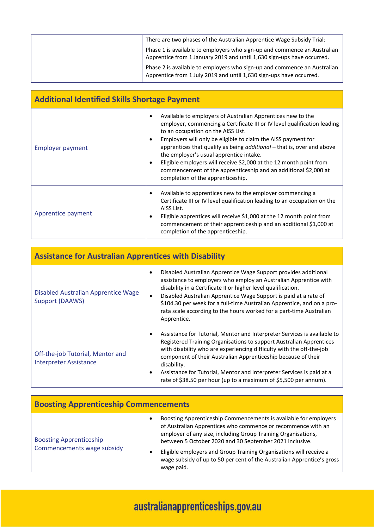| There are two phases of the Australian Apprentice Wage Subsidy Trial:                                                                              |
|----------------------------------------------------------------------------------------------------------------------------------------------------|
| Phase 1 is available to employers who sign-up and commence an Australian<br>Apprentice from 1 January 2019 and until 1,630 sign-ups have occurred. |
| Phase 2 is available to employers who sign-up and commence an Australian<br>Apprentice from 1 July 2019 and until 1,630 sign-ups have occurred.    |

| <b>Additional Identified Skills Shortage Payment</b> |                                                                                                                                                                                                                                                                                                                                                                                                                                                                                                                                                                                     |  |
|------------------------------------------------------|-------------------------------------------------------------------------------------------------------------------------------------------------------------------------------------------------------------------------------------------------------------------------------------------------------------------------------------------------------------------------------------------------------------------------------------------------------------------------------------------------------------------------------------------------------------------------------------|--|
| <b>Employer payment</b>                              | Available to employers of Australian Apprentices new to the<br>$\epsilon$<br>employer, commencing a Certificate III or IV level qualification leading<br>to an occupation on the AISS List.<br>Employers will only be eligible to claim the AISS payment for<br>$\bullet$<br>apprentices that qualify as being <i>additional</i> – that is, over and above<br>the employer's usual apprentice intake.<br>Eligible employers will receive \$2,000 at the 12 month point from<br>commencement of the apprenticeship and an additional \$2,000 at<br>completion of the apprenticeship. |  |
| Apprentice payment                                   | Available to apprentices new to the employer commencing a<br>Certificate III or IV level qualification leading to an occupation on the<br>AISS List.<br>Eligible apprentices will receive \$1,000 at the 12 month point from<br>٠<br>commencement of their apprenticeship and an additional \$1,000 at<br>completion of the apprenticeship.                                                                                                                                                                                                                                         |  |

| <b>Assistance for Australian Apprentices with Disability</b>      |                                                                                                                                                                                                                                                                                                                                                                                                                                                                                |  |
|-------------------------------------------------------------------|--------------------------------------------------------------------------------------------------------------------------------------------------------------------------------------------------------------------------------------------------------------------------------------------------------------------------------------------------------------------------------------------------------------------------------------------------------------------------------|--|
| Disabled Australian Apprentice Wage<br>Support (DAAWS)            | Disabled Australian Apprentice Wage Support provides additional<br>$\bullet$<br>assistance to employers who employ an Australian Apprentice with<br>disability in a Certificate II or higher level qualification.<br>Disabled Australian Apprentice Wage Support is paid at a rate of<br>٠<br>\$104.30 per week for a full-time Australian Apprentice, and on a pro-<br>rata scale according to the hours worked for a part-time Australian<br>Apprentice.                     |  |
| Off-the-job Tutorial, Mentor and<br><b>Interpreter Assistance</b> | Assistance for Tutorial, Mentor and Interpreter Services is available to<br>$\bullet$<br>Registered Training Organisations to support Australian Apprentices<br>with disability who are experiencing difficulty with the off-the-job<br>component of their Australian Apprenticeship because of their<br>disability.<br>Assistance for Tutorial, Mentor and Interpreter Services is paid at a<br>$\bullet$<br>rate of \$38.50 per hour (up to a maximum of \$5,500 per annum). |  |

| <b>Boosting Apprenticeship Commencements</b>                 |                                                                                                                                                                                                                                                                                                                                                                                                                            |
|--------------------------------------------------------------|----------------------------------------------------------------------------------------------------------------------------------------------------------------------------------------------------------------------------------------------------------------------------------------------------------------------------------------------------------------------------------------------------------------------------|
| <b>Boosting Apprenticeship</b><br>Commencements wage subsidy | Boosting Apprenticeship Commencements is available for employers<br>of Australian Apprentices who commence or recommence with an<br>employer of any size, including Group Training Organisations,<br>between 5 October 2020 and 30 September 2021 inclusive.<br>Eligible employers and Group Training Organisations will receive a<br>wage subsidy of up to 50 per cent of the Australian Apprentice's gross<br>wage paid. |